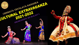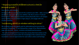## " Exposing oneself to different culture is vital for personal growth "

**Dear parents and students,**

**At the onset of our journey towards the academic year 2021- 2022, we have**  decided to pace upon with a new addition. We like to name it "Cultural **Extravaganza". Although our students cannot physically enter a set campus space together, we want them to logon plug in, and engage with one**  another remotely.

#### "Inside every child is a rainbow waiting to shine "

**We cordially invite and eagerly wait for admirable performance by the students of little steps . It was followed by a range of fun-filled activities yoga and exercises , rhyme , recitation and playful performances .**

**The school management & principal also convey their best wishes as the fruitful session not only broaden the knowledge of the students but also inculcated a sense of appreciation for each others culture and heritage .** 

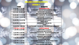# ONLINE EVENTS(30/9/21)

| <b>TIME</b>        | <b>EVENTS</b>                                     |
|--------------------|---------------------------------------------------|
| 9.15 AM -9.45 AM   | <b>INAUGURATION</b>                               |
| 9.45 AM -9.55 AM   | CATEGORY -3(8,9&10) CLASSICAL DANCE               |
| 9.55 AM -10.50 AM  | <b>CATEGORY-2(5,6&amp;7)</b>                      |
|                    | <b>MALAYALAM RECITATION</b>                       |
| 10.50 AM -11.10 AM | <b>CATEGORY-3 (8,9&amp;10) CLASSICAL MUSIC</b>    |
| 11.10 AM -12.00 PM | <b>CATEGORY -2 (5,6&amp;7)</b>                    |
|                    | <b>POSTER PRESENTATION</b>                        |
| 12.00 PM -12.25 PM | <b>CATEGORY -2 (5,6&amp;7)</b>                    |
|                    | <b>MIME SOLO</b>                                  |
| 12.25 PM -12.55 PM | <b>CATEGORY -3 (8,9&amp;10)</b>                   |
|                    | <b>YOGA</b>                                       |
| 12.55 PM -1.00 PM  | <b>CATEGORY-3 (8,9&amp;10) ELOCUTION SANSKRIT</b> |
| 1.00 PM -1.30 PM   | <b>LUNCH BREAK</b>                                |
| 1.30 PM -2.24 PM   | <b>CATEGORY 2 (5,6&amp;7)</b>                     |
|                    | <b>KANNADA RECITATION</b>                         |
| 2.24 PM -3.08 PM   | <b>CATEGORY 3 (8,9&amp;10) ELOCUTION ENGLISH</b>  |
| 3.08 PM -3.30 PM   | <b>CATEGORY 2 (5,6&amp;7)</b>                     |
|                    | <b>SANSKRIT RECITATION</b>                        |
| 3.30 PM -4.06 PM   | <b>CATEGORY 2 (5,6&amp;7)</b>                     |
|                    | <b>ELOCUTION HINDI</b>                            |
| 4.06 PM -4.20 PM   | <b>CATEGORY 3 (8,9&amp;10) ELOCUTION HINDI</b>    |
| 4.20 PM -4.30 PM   | <b>CATEGORY 3 (8,9&amp;10)</b>                    |
|                    | <b>FOLK DANCE GIRLS/BOYS</b>                      |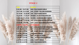| TIME                | EVENTS                                   |
|---------------------|------------------------------------------|
| 9.30 AM - 10.07 AM  | <b>UKG-FOLK DANCE GIRLS</b>              |
| 10.07 AM -10.18 AM  | <b>LKG - STORY TELLING KANNADA</b>       |
| 10.18 AM - 10.28 AM | <b>LKG - FOLK DANCE BOYS</b>             |
| 10.28 AM - 11.05 AM | <b>GRADE 2 -ELOCUTION ENGLISH</b>        |
| 11.05 AM - 11.25 AM | <b>GRADE 2 - KANNADA RECITATION</b>      |
| 11.25 AM - 11.55 AM | <b>CAT 1(3&amp;4) ENGLISH RECITATION</b> |
| 11.55 AM -1.05 PM   | CAT 1 (3&4) FOLK DANCE BOYS/GIRLS        |
| 1.05 PM - 1.30 PM   | <b>LUCH BREAK</b>                        |
| 1.30 PM -1.35 PM    | <b>CAT 1(3&amp;4) ELOCUTION KANNADA</b>  |
| 1.35 PM -2.35 PM    | CAT 1(3&4) LIGHT MUSIC ANY LANGUAGE      |
| 2.35 PM -2-47 PM    | <b>LKG- STORY TELLING MALAYALAM</b>      |
| 2.47 PM -3.00 PM    | <b>LKG FANCY DRESS</b>                   |
| 3.00 PM -3.25 PM    | <b>UKG - PATRIOTIC SONG</b>              |
| 3.25 PM -3.50 PM    | <b>UKG - ACTION SONG KANNADA</b>         |
| 3.50 PM -4.18 PM    | <b>UKG – FANCY DRESS</b>                 |
| 4.18 PM -4.30 PM    | <b>UKG-FOLK DANCE BOYS</b>               |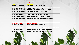| $9.30$ AM $-$ 10.30 AM | <b>GRADE 2- FOLK DANCE GIRLS</b>                |
|------------------------|-------------------------------------------------|
| 10.30 AM - 11.05 AM    | CAT 2 (5,6&7) – MONO ACT                        |
| 11.05 AM - 11.30 AM    | <b>GRADE 2 - MALAYALAM RECITATION</b>           |
| 11.30 AM - 11.36 AM    | <b>GRADE 2 - MALAYALAM SPEECH</b>               |
| 11.36 AM - 12.00 PM    | <b>CAT 1- (3&amp;4) HINDI RECITATION</b>        |
| 12.00 PM - 12.20 PM    | <b>CAT 1 - (3&amp;4) ENGLISH ELOCUTION</b>      |
| 12.20 PM - 12.50 PM    | <b>GRADE 2- MALAYALAM STORY TELLING</b>         |
| 12.50 PM - 1.00 PM     | CAT 1 - (3&4) KANNADA RECITATION                |
| 1.00 PM - 1.30 PM      | <b>LUNCH BREAK</b>                              |
| $1.30$ PM $- 1.40$ PM  | <b>LKG - STORY TELLING ENGLISH</b>              |
| 1.40 PM - 2.05 PM      | <b>GRADE 1 - LIGHT MUSIC KANNADA /MALAYALAM</b> |
| $2.05$ PM $-$ 3.00 PM  | <b>GRADE 2 - STORY TELLING KANNADA</b>          |
| 3.00 PM 3.50 PM        | CAT 1- (3&4) MALAYALAM RECITATION               |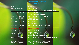**ONLINE EVENTS(01/10/21) STAGE 1**

| <b>TIME</b>                       | <b>EVENTS</b>                          |  |
|-----------------------------------|----------------------------------------|--|
| 9.30 AM -11.15 AM                 | CAT $2 - (5,6&7)$ -                    |  |
|                                   | <b>LIGHT MUSIC KANNADA/ MALAYALAM</b>  |  |
| 11.15 AM -12.20 PM                | $CAT 2 - (5, 6&7)$                     |  |
|                                   | <b>ELOCUTION ENGLISH</b>               |  |
| 12.20 PM -12.32 PM                | $CAT 3 -(8,9&10) - MONO ACT$           |  |
| $12.\overline{32}$ PM $-12.42$ PM | <b>GRADE 2</b>                         |  |
|                                   | <b>FOLK DANCE BOYS</b>                 |  |
| 12.42 PM -12.45 PM                | <b>GRADE 2</b>                         |  |
|                                   | <b>KANNADA SPEECH</b>                  |  |
| $12.45$ PM $-1.05$ PM             | <b>LKG - ACTION SONG ENGLISH</b>       |  |
| $1.05$ PM $- 1.30$ PM             | <b>LUNCH BREAK</b>                     |  |
| $1.30$ PM $- 1.50$ PM             | $CAT 2 - (5, 6&7)$                     |  |
|                                   | <b>CLASSICAL MUSIC</b>                 |  |
| $1.50$ PM $- 2.40$ PM             | $CAT 2 - (5, 6&7)$                     |  |
|                                   | <b>FOLK DANCE GIRLS/BOYS</b>           |  |
| $2.40$ PM $-$ 3.35 PM             | CAT 3 - (8,9&10) - POSTER PRESENTATION |  |
|                                   |                                        |  |
| $3.35$ PM $-$ 4.05 PM             | $CAT 3-(8,9&10) - FOLK SONG$           |  |
| $4.05$ PM $-4.30$ PM              | CAT $1-(3&4)$ – FANCY DRESS            |  |

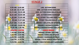| TIMR                      | <b>BYBNIS</b>                            |
|---------------------------|------------------------------------------|
| 9.30 AM - 9.40 AM         | <b>LKG -ACTION SONG</b>                  |
| 9.40 AM -10.15 AM         | <b>UKG -ACTION SONG ENGLISH</b>          |
| 10.15 AM - 10.35 AM       | <b>UKG -ACTION SONG MALAYALAM</b>        |
| 10.35 AM - 10.50 AM       | <b>LKG- ACTION SONG KANNADA</b>          |
| 10.50 AM - 11.05 AM       | UKG -STORY TELLING ENGLISH               |
| <b>11.05 AM- 11.37 AM</b> | <b>UKG -STORY TELLING MALAYALAM</b>      |
| 11.37 AM - 11.45 AM       | <b>GRADE-1 MALAYALAM SPEECH</b>          |
| 11.45 AM - 12.55 PM       | <b>GRADE-1 PATRIOTIC SONG</b>            |
| <b>12.55 PM-1.00 PM</b>   | <b>GRADE-2 BHARATHANATYAM (SOLO)</b>     |
| 1.00 PM -1.30 PM          | <b>LUNCH BREAK</b>                       |
| 1.30 PM - 2.25 PM         | <b>GRADE-1 STORY TELLING</b>             |
| 2.25 PM - 2.55 PM         | <b>GRADE-1 ENGLISH SPEECH</b>            |
| 2.55 PM - 3.20 PM         | <b>GRADE-1 KANNADA SPEECH</b>            |
| 3.20 PM - 4.10 PM         | <b>GRADE-1 FOLK DANCE GIRLS BOYS</b>     |
| 4.10 PM - 4.52 PM         | <b>GRADE-1 RECITATION (ANY LANGUAGE)</b> |